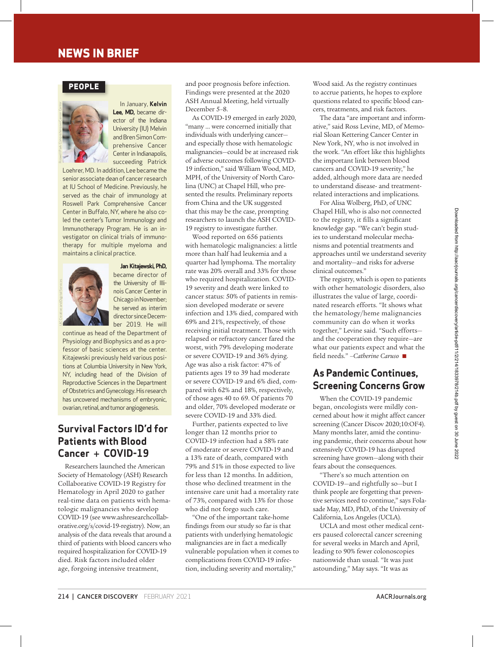# **neWs in brief**

### **PeoPLe**



In January, **kelvin Lee, MD,** became director of the Indiana University (IU) Melvin and Bren Simon Comprehensive Cancer Center in Indianapolis, succeeding Patrick

Loehrer, MD. In addition, Lee became the senior associate dean of cancer research at IU School of Medicine. Previously, he served as the chair of immunology at Roswell Park Comprehensive Cancer Center in Buffalo, NY, where he also coled the center's Tumor Immunology and Immunotherapy Program. He is an investigator on clinical trials of immunotherapy for multiple myeloma and maintains a clinical practice.



**jan kitajewski, PhD,**

became director of the University of Illinois Cancer Center in Chicago in November; he served as interim director since December 2019 . He will

continue as head of the Department of Physiology and Biophysics and as a professor of basic sciences at the center. Kitajewski previously held various positions at Columbia University in New York, NY, including head of the Division of Reproductive Sciences in the Department of Obstetrics and Gynecology . His research has uncovered mechanisms of embryonic, ovarian, retinal, and tumor angiogenesis .

## **Survival Factors ID'd for Patients with Blood Cancer + COVID-19**

Re searchers launched the American Society of Hematology (ASH) Research Collaborative COVID-19 Registry for Hematology in April 2020 to gather real-time data on patients with hematologic malignancies who develop COVID-19 (see www.ashresearchcollaborative.org/s/covid-19-registry). Now, an analysis of the data reveals that around a third of patients with blood cancers who required hospitalization for COVID-19 died. Risk factors included older age, forgoing intensive treatment,

and poor prognosis before infection. Findings were presented at the 2020 ASH Annual Meeting, held virtually December 5–8.

As COVID-19 emerged in early 2020, "many … were concerned initially that individuals with underlying cancer and especially those with hematologic malignancies—could be at increased risk of adverse outcomes following COVID-19 infection," said William Wood, MD, MPH, of the University of North Carolina (UNC) at Chapel Hill, who presented the results. Preliminary reports from China and the UK suggested that this may be the case, prompting researchers to launch the ASH COVID-19 registry to investigate further.

Wood reported on 656 patients with hematologic malignancies: a little more than half had leukemia and a quarter had lymphoma. The mortality rate was 20% overall and 33% for those who required hospitalization. COVID-19 severity and death were linked to cancer status: 50% of patients in remission developed moderate or severe infection and 13% died, compared with 69% and 21%, respectively, of those receiving initial treatment. Those with relapsed or refractory cancer fared the worst, with 79% developing moderate or severe COVID-19 and 36% dying. Age was also a risk factor: 47% of patients ages 19 to 39 had moderate or severe COVID-19 and 6% died, compared with 62% and 18%, respectively, of those ages 40 to 69. Of patients 70 and older, 70% developed moderate or severe COVID-19 and 33% died.

Further, patients expected to live longer than 12 months prior to COVID-19 infection had a 58% rate of moderate or severe COVID-19 and a 13% rate of death, compared with 79% and 51% in those expected to live for less than 12 months. In addition, those who declined treatment in the intensive care unit had a mortality rate of 73%, compared with 13% for those who did not forgo such care.

"One of the important take-home findings from our study so far is that patients with underlying hematologic malignancies are in fact a medically vulnerable population when it comes to complications from COVID-19 infection, including severity and mortality,"

Wood said. As the registry continues to accrue patients, he hopes to explore questions related to specific blood cancers, treatments, and risk factors.

The data "are important and informative," said Ross Levine, MD, of Memorial Sloan Kettering Cancer Center in New York, NY, who is not involved in the work. "An effort like this highlights the important link between blood cancers and COVID-19 severity," he added, although more data are needed to understand disease- and treatmentrelated interactions and implications.

For Alisa Wolberg, PhD, of UNC Chapel Hill, who is also not connected to the registry, it fills a significant knowledge gap. "We can't begin studies to understand molecular mechanisms and potential treatments and approaches until we understand severity and mortality—and risks for adverse clinical outcomes."

The registry, which is open to patients with other hematologic disorders, also illustrates the value of large, coordinated research efforts. "It shows what the hematology/heme malignancies community can do when it works together," Levine said. "Such efforts and the cooperation they require—are what our patients expect and what the fi eld needs." *–Catherine Caruso* n

## **As Pandemic Continues, Screening Concerns Grow**

When the COVID-19 pandemic began, oncologists were mildly concerned about how it might affect cancer screening (Cancer Discov 2020;10:OF4). Many months later, amid the continuing pandemic, their concerns about how extensively COVID-19 has disrupted screening have grown—along with their fears about the consequences.

"There's so much attention on COVID-19—and rightfully so—but I think people are forgetting that preventive services need to continue," says Folasade May, MD, PhD, of the University of California, Los Angeles (UCLA).

UCLA and most other medical centers paused colorectal cancer screening for several weeks in March and April, leading to 90% fewer colonoscopies nationwide than usual. "It was just astounding," May says. "It was as